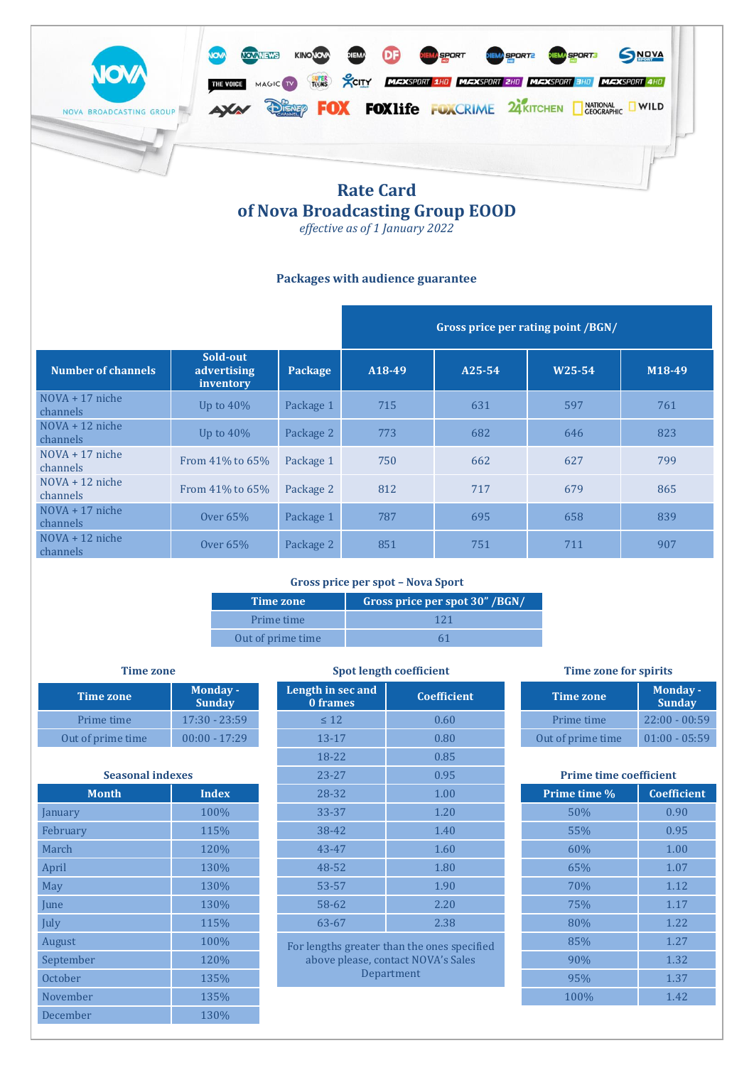

# **of Nova Broadcasting Group EOOD**

*effective as of 1 January 2022*

# **Packages with audience guarantee**

|                               |                                      |           | Gross price per rating point /BGN/ |            |                     |                     |
|-------------------------------|--------------------------------------|-----------|------------------------------------|------------|---------------------|---------------------|
| <b>Number of channels</b>     | Sold-out<br>advertising<br>inventory | Package   | A18-49                             | $A25 - 54$ | W <sub>25</sub> -54 | M <sub>18</sub> -49 |
| $NOVA + 17$ niche<br>channels | Up to $40\%$                         | Package 1 | 715                                | 631        | 597                 | 761                 |
| $NOVA + 12$ niche<br>channels | Up to $40\%$                         | Package 2 | 773                                | 682        | 646                 | 823                 |
| $NOVA + 17$ niche<br>channels | From 41% to 65%                      | Package 1 | 750                                | 662        | 627                 | 799                 |
| $NOVA + 12$ niche<br>channels | From 41% to 65%                      | Package 2 | 812                                | 717        | 679                 | 865                 |
| $NOVA + 17$ niche<br>channels | Over $65\%$                          | Package 1 | 787                                | 695        | 658                 | 839                 |
| $NOVA + 12$ niche<br>channels | Over $65%$                           | Package 2 | 851                                | 751        | 711                 | 907                 |

# **Gross price per spot – Nova Sport**

| Time zone         | Gross price per spot 30" /BGN/ |
|-------------------|--------------------------------|
| Prime time        | 121                            |
| Out of prime time |                                |

| Time zone         | <b>Monday-</b><br><b>Sunday</b> |
|-------------------|---------------------------------|
| Prime time        | $17:30 - 23:59$                 |
| Out of prime time | $00:00 - 17:29$                 |

| <b>Seasonal indexes</b> |              |  |  |  |
|-------------------------|--------------|--|--|--|
| <b>Month</b>            | <b>Index</b> |  |  |  |
| anuary                  | 100%         |  |  |  |
| ebruary                 | 115%         |  |  |  |
| Aarch                   | 120%         |  |  |  |
| <b>\pril</b>            | 130%         |  |  |  |
| ⁄lay                    | 130%         |  |  |  |
| une                     | 130%         |  |  |  |
| ulv                     | 115%         |  |  |  |
| lugust                  | 100%         |  |  |  |
| 'entember               | 12.0%        |  |  |  |

December 130%

| <b>Time zone</b>        |                                  | <b>Spot length coefficient</b> | <b>Time zone for spirits</b>                |                               |                           |
|-------------------------|----------------------------------|--------------------------------|---------------------------------------------|-------------------------------|---------------------------|
| <b>Time zone</b>        | <b>Monday -</b><br><b>Sunday</b> | Length in sec and<br>0 frames  | <b>Coefficient</b>                          | <b>Time zone</b>              | Monday -<br><b>Sunday</b> |
| Prime time              | $17:30 - 23:59$                  | $\leq 12$                      | 0.60                                        | Prime time                    | $22:00 - 00:59$           |
| Out of prime time       | $00:00 - 17:29$                  | $13 - 17$                      | 0.80                                        | Out of prime time             | $01:00 - 05:59$           |
|                         |                                  | 18-22                          | 0.85                                        |                               |                           |
| <b>Seasonal indexes</b> |                                  | $23 - 27$                      | 0.95                                        | <b>Prime time coefficient</b> |                           |
| <b>Month</b>            | <b>Index</b>                     | 28-32                          | 1.00                                        | Prime time %                  | <b>Coefficient</b>        |
| January                 | 100%                             | 33-37                          | 1.20                                        | 50%                           | 0.90                      |
| February                | 115%                             | 38-42                          | 1.40                                        | 55%                           | 0.95                      |
| March                   | 120%                             | 43-47                          | 1.60                                        | 60%                           | 1.00                      |
| April                   | 130%                             | 48-52                          | 1.80                                        | 65%                           | 1.07                      |
| May                     | 130%                             | 53-57                          | 1.90                                        | 70%                           | 1.12                      |
| June                    | 130%                             | 58-62                          | 2.20                                        | 75%                           | 1.17                      |
| July                    | 115%                             | 63-67                          | 2.38                                        | 80%                           | 1.22                      |
| August                  | 100%                             |                                | For lengths greater than the ones specified | 85%                           | 1.27                      |
|                         |                                  |                                |                                             |                               |                           |

| <b>Time zone</b>  | <b>Monday -</b><br><b>Sunday</b> |  |  |
|-------------------|----------------------------------|--|--|
| Prime time        | $22:00 - 00:59$                  |  |  |
| Out of prime time | $01:00 - 05:59$                  |  |  |

| <b>Seasonal indexes</b> |              | $23 - 27$<br>0.95 |       | <b>Prime time coefficient</b>               |  |              |                    |
|-------------------------|--------------|-------------------|-------|---------------------------------------------|--|--------------|--------------------|
| <b>Month</b>            | <b>Index</b> |                   | 28-32 | 1.00                                        |  | Prime time % | <b>Coefficient</b> |
| January                 | 100%         |                   | 33-37 | 1.20                                        |  | 50%          | 0.90               |
| February                | 115%         |                   | 38-42 | 1.40                                        |  | 55%          | 0.95               |
| March                   | 120%         |                   | 43-47 | 1.60                                        |  | 60%          | 1.00               |
| April                   | 130%         |                   | 48-52 | 1.80                                        |  | 65%          | 1.07               |
| May                     | 130%         |                   | 53-57 | 1.90                                        |  | 70%          | 1.12               |
| June                    | 130%         |                   | 58-62 | 2.20                                        |  | 75%          | 1.17               |
| July                    | 115%         |                   | 63-67 | 2.38                                        |  | 80%          | 1.22               |
| August                  | 100%         |                   |       | For lengths greater than the ones specified |  | 85%          | 1.27               |
| September               | 120%         |                   |       | above please, contact NOVA's Sales          |  | 90%          | 1.32               |
| <b>October</b>          | 135%         |                   |       | Department                                  |  | 95%          | 1.37               |
| November                | 135%         |                   |       |                                             |  | 100%         | 1.42               |
|                         |              |                   |       |                                             |  |              |                    |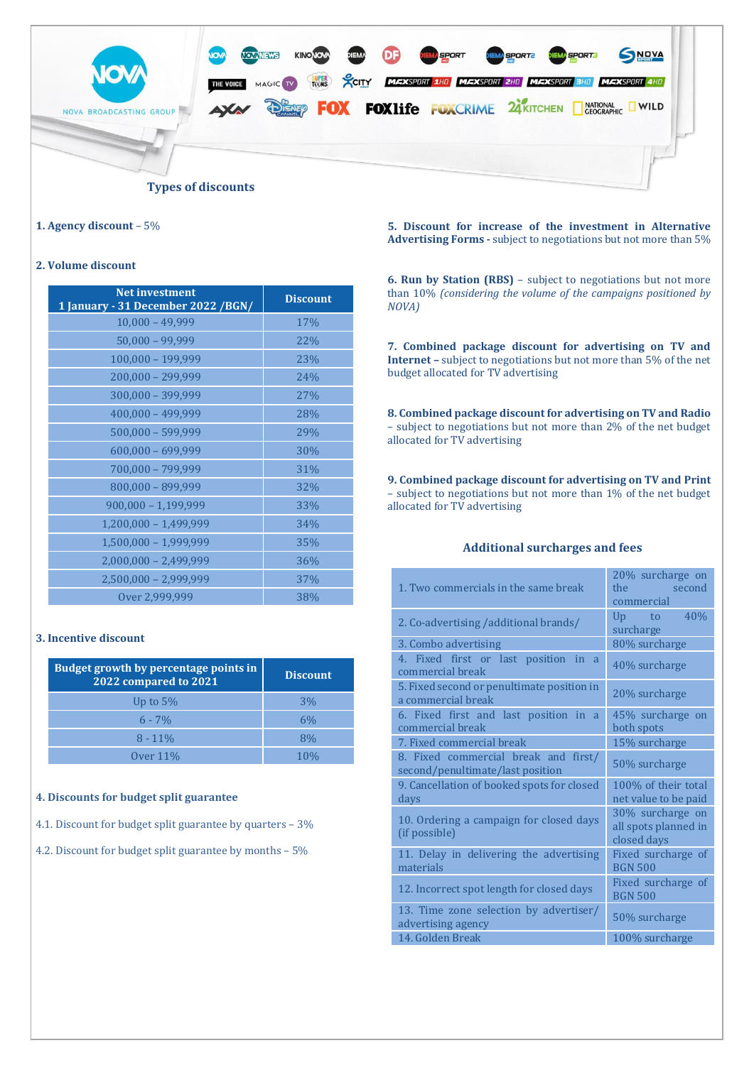

#### **1. Agency discount** – 5%

#### **2. Volume discount**

| <b>Net investment</b><br>1 January - 31 December 2022 / BGN/ | <b>Discount</b> |
|--------------------------------------------------------------|-----------------|
| $10,000 - 49,999$                                            | 17%             |
| $50,000 - 99,999$                                            | 22%             |
| 100,000 - 199,999                                            | 23%             |
| 200,000 - 299,999                                            | 24%             |
| 300,000 - 399,999                                            | 27%             |
| $400,000 - 499,999$                                          | 28%             |
| 500,000 - 599,999                                            | 29%             |
| $600,000 - 699,999$                                          | 30%             |
| 700,000 - 799,999                                            | 31%             |
| 800,000 - 899,999                                            | 32%             |
| $900,000 - 1,199,999$                                        | 33%             |
| $1,200,000 - 1,499,999$                                      | 34%             |
| $1,500,000 - 1,999,999$                                      | 35%             |
| $2,000,000 - 2,499,999$                                      | 36%             |
| 2,500,000 - 2,999,999                                        | 37%             |
| Over 2,999,999                                               | 38%             |

#### **3. Incentive discount**

| <b>Budget growth by percentage points in</b><br>2022 compared to 2021 | <b>Discount</b> |
|-----------------------------------------------------------------------|-----------------|
| Up to $5%$                                                            | 3%              |
| $6 - 7\%$                                                             | 6%              |
| $8 - 11\%$                                                            | 8%              |
| Over $11\%$                                                           |                 |

#### **4. Discounts for budget split guarantee**

4.1. Discount for budget split guarantee by quarters – 3%

4.2. Discount for budget split guarantee by months – 5%

**5. Discount for increase of the investment in Alternative Advertising Forms -** subject to negotiations but not more than 5%

**6. Run by Station (RBS)** – subject to negotiations but not more than 10% *(considering the volume of the campaigns positioned by NOVA)*

**7. Combined package discount for advertising on TV and Internet –** subject to negotiations but not more than 5% of the net budget allocated for TV advertising

**8. Combined package discount for advertising on TV and Radio** – subject to negotiations but not more than 2% of the net budget allocated for TV advertising

**9. Combined package discount for advertising on TV and Print**  – subject to negotiations but not more than 1% of the net budget allocated for TV advertising

# **Additional surcharges and fees**

| 1. Two commercials in the same break                                     | 20% surcharge on<br>the<br>second<br>commercial         |  |
|--------------------------------------------------------------------------|---------------------------------------------------------|--|
| 2. Co-advertising / additional brands/                                   | 40%<br>Up to<br>surcharge                               |  |
| 3. Combo advertising                                                     | 80% surcharge                                           |  |
| 4. Fixed first or last position in a<br>commercial break                 | 40% surcharge                                           |  |
| 5. Fixed second or penultimate position in<br>a commercial break         | 20% surcharge                                           |  |
| 6. Fixed first and last position in a<br>commercial break                | 45% surcharge on<br>both spots                          |  |
| 7. Fixed commercial break                                                | 15% surcharge                                           |  |
| 8. Fixed commercial break and first/<br>second/penultimate/last position | 50% surcharge                                           |  |
| 9. Cancellation of booked spots for closed<br>days                       | 100% of their total<br>net value to be paid             |  |
| 10. Ordering a campaign for closed days<br>(if possible)                 | 30% surcharge on<br>all spots planned in<br>closed days |  |
| 11. Delay in delivering the advertising<br>materials                     | Fixed surcharge of<br><b>BGN 500</b>                    |  |
| 12. Incorrect spot length for closed days                                | Fixed surcharge of<br><b>BGN 500</b>                    |  |
| 13. Time zone selection by advertiser/<br>advertising agency             | 50% surcharge                                           |  |
| 14. Golden Break                                                         | 100% surcharge                                          |  |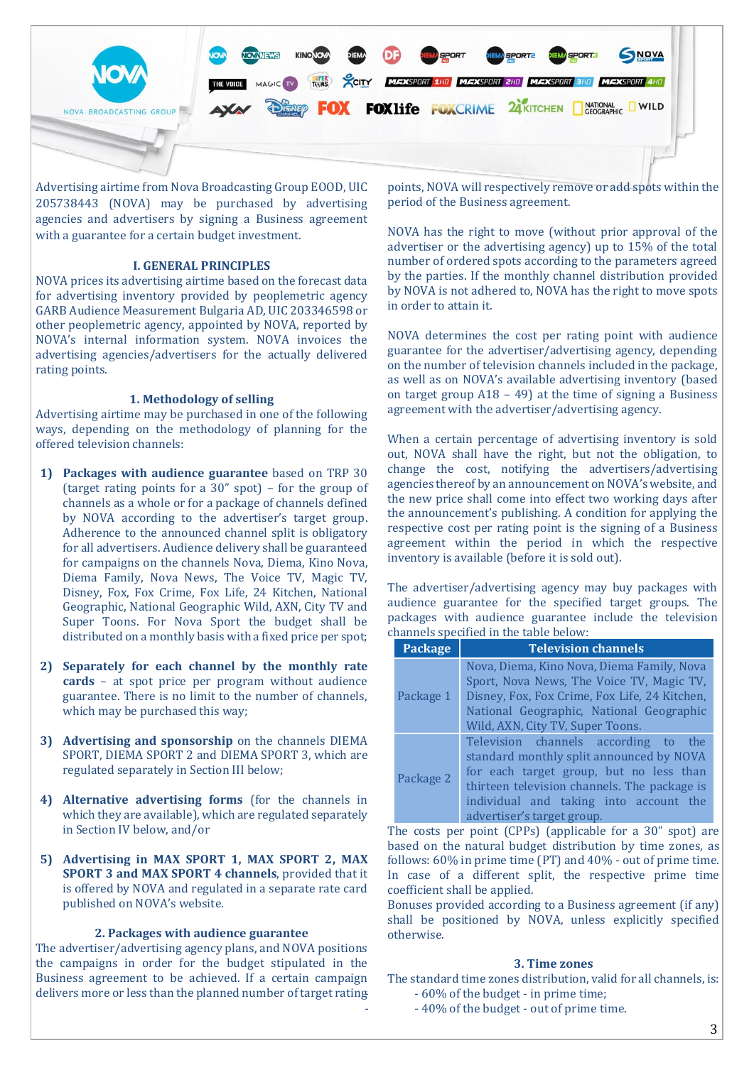

Advertising airtime from Nova Broadcasting Group EOOD, UIC 205738443 (NOVA) may be purchased by advertising agencies and advertisers by signing a Business agreement with a guarantee for a certain budget investment.

#### **I. GENERAL PRINCIPLES**

NOVA prices its advertising airtime based on the forecast data for advertising inventory provided by peoplemetric agency GARB Audience Measurement Bulgaria AD, UIC 203346598 or other peoplemetric agency, appointed by NOVA, reported by NOVA's internal information system. NOVA invoices the advertising agencies/advertisers for the actually delivered rating points.

#### **1. Methodology of selling**

Advertising airtime may be purchased in one of the following ways, depending on the methodology of planning for the offered television channels:

- **1) Packages with audience guarantee** based on TRP 30 (target rating points for a 30" spot) – for the group of channels as a whole or for a package of channels defined by NOVA according to the advertiser's target group. Adherence to the announced channel split is obligatory for all advertisers. Audience delivery shall be guaranteed for campaigns on the channels Nova, Diema, Kino Nova, Diema Family, Nova News, The Voice TV, Magic TV, Disney, Fox, Fox Crime, Fox Life, 24 Kitchen, National Geographic, National Geographic Wild, AXN, City TV and Super Toons. For Nova Sport the budget shall be distributed on a monthly basis with a fixed price per spot;
- **2) Separately for each channel by the monthly rate cards** – at spot price per program without audience guarantee. There is no limit to the number of channels, which may be purchased this way;
- **3) Advertising and sponsorship** on the channels DIEMA SPORT, DIEMA SPORT 2 and DIEMA SPORT 3, which are regulated separately in Section III below;
- **4) Alternative advertising forms** (for the channels in which they are available), which are regulated separately in Section IV below, and/or
- **5) Advertising in MAX SPORT 1, MAX SPORT 2, MAX SPORT 3 and MAX SPORT 4 channels**, provided that it is offered by NOVA and regulated in a separate rate card published on NOVA's website.

#### **2. Packages with audience guarantee**

The advertiser/advertising agency plans, and NOVA positions the campaigns in order for the budget stipulated in the Business agreement to be achieved. If a certain campaign delivers more or less than the planned number of target rating

points, NOVA will respectively remove or add spots within the period of the Business agreement.

NOVA has the right to move (without prior approval of the advertiser or the advertising agency) up to 15% of the total number of ordered spots according to the parameters agreed by the parties. If the monthly channel distribution provided by NOVA is not adhered to, NOVA has the right to move spots in order to attain it.

NOVA determines the cost per rating point with audience guarantee for the advertiser/advertising agency, depending on the number of television channels included in the package, as well as on NOVA's available advertising inventory (based on target group A18 – 49) at the time of signing a Business agreement with the advertiser/advertising agency.

When a certain percentage of advertising inventory is sold out, NOVA shall have the right, but not the obligation, to change the cost, notifying the advertisers/advertising agencies thereof by an announcement on NOVA's website, and the new price shall come into effect two working days after the announcement's publishing. A condition for applying the respective cost per rating point is the signing of a Business agreement within the period in which the respective inventory is available (before it is sold out).

The advertiser/advertising agency may buy packages with audience guarantee for the specified target groups. The packages with audience guarantee include the television channels specified in the table below:

| <b>Package</b> | <b>Television channels</b>                                                                                                                                                                                                                             |
|----------------|--------------------------------------------------------------------------------------------------------------------------------------------------------------------------------------------------------------------------------------------------------|
| Package 1      | Nova, Diema, Kino Nova, Diema Family, Nova<br>Sport, Nova News, The Voice TV, Magic TV,<br>Disney, Fox, Fox Crime, Fox Life, 24 Kitchen,<br>National Geographic, National Geographic<br>Wild, AXN, City TV, Super Toons.                               |
| Package 2      | Television channels according to<br>the<br>standard monthly split announced by NOVA<br>for each target group, but no less than<br>thirteen television channels. The package is<br>individual and taking into account the<br>advertiser's target group. |

The costs per point (CPPs) (applicable for a 30" spot) are based on the natural budget distribution by time zones, as follows: 60% in prime time (PT) and 40% - out of prime time. In case of a different split, the respective prime time coefficient shall be applied.

Bonuses provided according to a Business agreement (if any) shall be positioned by NOVA, unless explicitly specified otherwise.

#### **3. Time zones**

The standard time zones distribution, valid for all channels, is: - - 60% of the budget - in prime time;

- - 40% of the budget - out of prime time.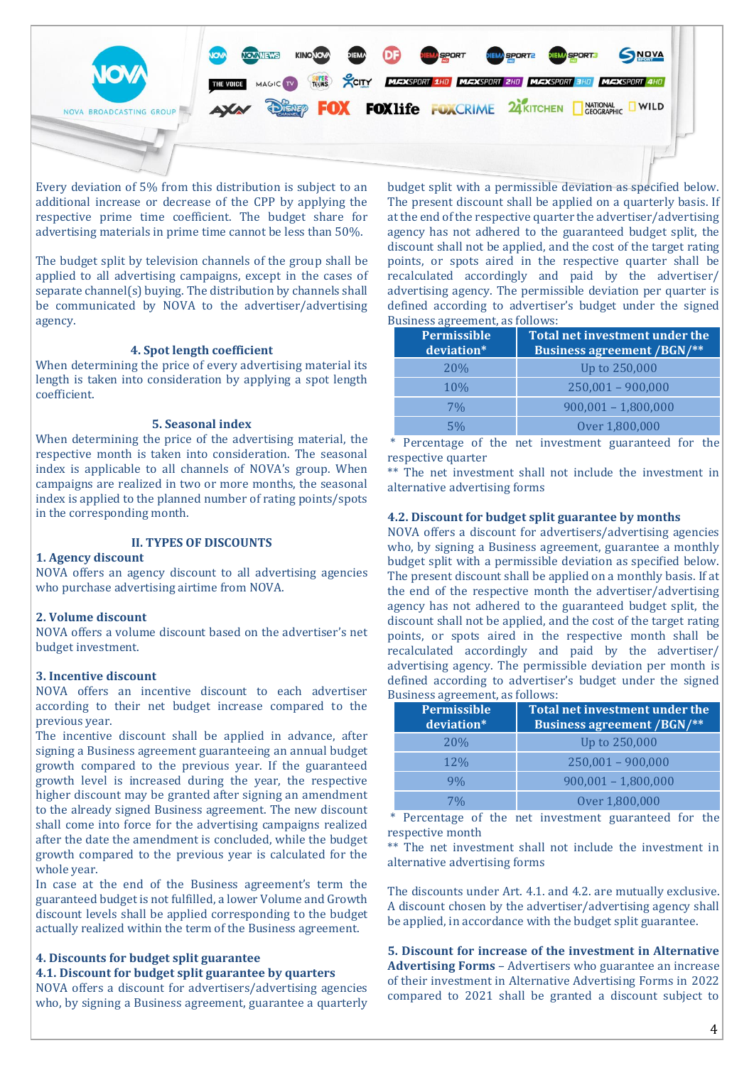

Every deviation of 5% from this distribution is subject to an additional increase or decrease of the CPP by applying the respective prime time coefficient. The budget share for advertising materials in prime time cannot be less than 50%.

The budget split by television channels of the group shall be applied to all advertising campaigns, except in the cases of separate channel(s) buying. The distribution by channels shall be communicated by NOVA to the advertiser/advertising agency.

#### **4. Spot length coefficient**

When determining the price of every advertising material its length is taken into consideration by applying a spot length coefficient.

#### **5. Seasonal index**

When determining the price of the advertising material, the respective month is taken into consideration. The seasonal index is applicable to all channels of NOVA's group. When campaigns are realized in two or more months, the seasonal index is applied to the planned number of rating points/spots in the corresponding month.

### **II. TYPES OF DISCOUNTS**

#### **1. Agency discount**

NOVA offers an agency discount to all advertising agencies who purchase advertising airtime from NOVA.

#### **2. Volume discount**

NOVA offers a volume discount based on the advertiser's net budget investment.

#### **3. Incentive discount**

NOVA offers an incentive discount to each advertiser according to their net budget increase compared to the previous year.

The incentive discount shall be applied in advance, after signing a Business agreement guaranteeing an annual budget growth compared to the previous year. If the guaranteed growth level is increased during the year, the respective higher discount may be granted after signing an amendment to the already signed Business agreement. The new discount shall come into force for the advertising campaigns realized after the date the amendment is concluded, while the budget growth compared to the previous year is calculated for the whole year.

In case at the end of the Business agreement's term the guaranteed budget is not fulfilled, a lower Volume and Growth discount levels shall be applied corresponding to the budget actually realized within the term of the Business agreement.

#### **4. Discounts for budget split guarantee**

**4.1. Discount for budget split guarantee by quarters**

NOVA offers a discount for advertisers/advertising agencies who, by signing a Business agreement, guarantee a quarterly budget split with a permissible deviation as specified below. The present discount shall be applied on a quarterly basis. If at the end of the respective quarter the advertiser/advertising agency has not adhered to the guaranteed budget split, the discount shall not be applied, and the cost of the target rating points, or spots aired in the respective quarter shall be recalculated accordingly and paid by the advertiser/ advertising agency. The permissible deviation per quarter is defined according to advertiser's budget under the signed Business agreement, as follows:

| <b>Permissible</b><br>deviation* | Total net investment under the<br><b>Business agreement /BGN/**</b> |
|----------------------------------|---------------------------------------------------------------------|
| <b>20%</b>                       | Up to 250,000                                                       |
| <b>10%</b>                       | $250,001 - 900,000$                                                 |
| 7%                               | $900,001 - 1,800,000$                                               |
| 5%                               | Over 1,800,000                                                      |

\* Percentage of the net investment guaranteed for the respective quarter

\*\* The net investment shall not include the investment in alternative advertising forms

#### **4.2. Discount for budget split guarantee by months**

NOVA offers a discount for advertisers/advertising agencies who, by signing a Business agreement, guarantee a monthly budget split with a permissible deviation as specified below. The present discount shall be applied on a monthly basis. If at the end of the respective month the advertiser/advertising agency has not adhered to the guaranteed budget split, the discount shall not be applied, and the cost of the target rating points, or spots aired in the respective month shall be recalculated accordingly and paid by the advertiser/ advertising agency. The permissible deviation per month is defined according to advertiser's budget under the signed Business agreement, as follows:

| <b>Permissible</b><br>deviation* | Total net investment under the<br><b>Business agreement /BGN/**</b> |
|----------------------------------|---------------------------------------------------------------------|
| <b>20%</b>                       | Up to 250,000                                                       |
| <b>12%</b>                       | $250,001 - 900,000$                                                 |
| $9\%$                            | $900,001 - 1,800,000$                                               |
| 7%                               | Over 1,800,000                                                      |

\* Percentage of the net investment guaranteed for the respective month

\*\* The net investment shall not include the investment in alternative advertising forms

The discounts under Art. 4.1. and 4.2. are mutually exclusive. A discount chosen by the advertiser/advertising agency shall be applied, in accordance with the budget split guarantee.

**5. Discount for increase of the investment in Alternative Advertising Forms** – Advertisers who guarantee an increase of their investment in Alternative Advertising Forms in 2022 compared to 2021 shall be granted a discount subject to

4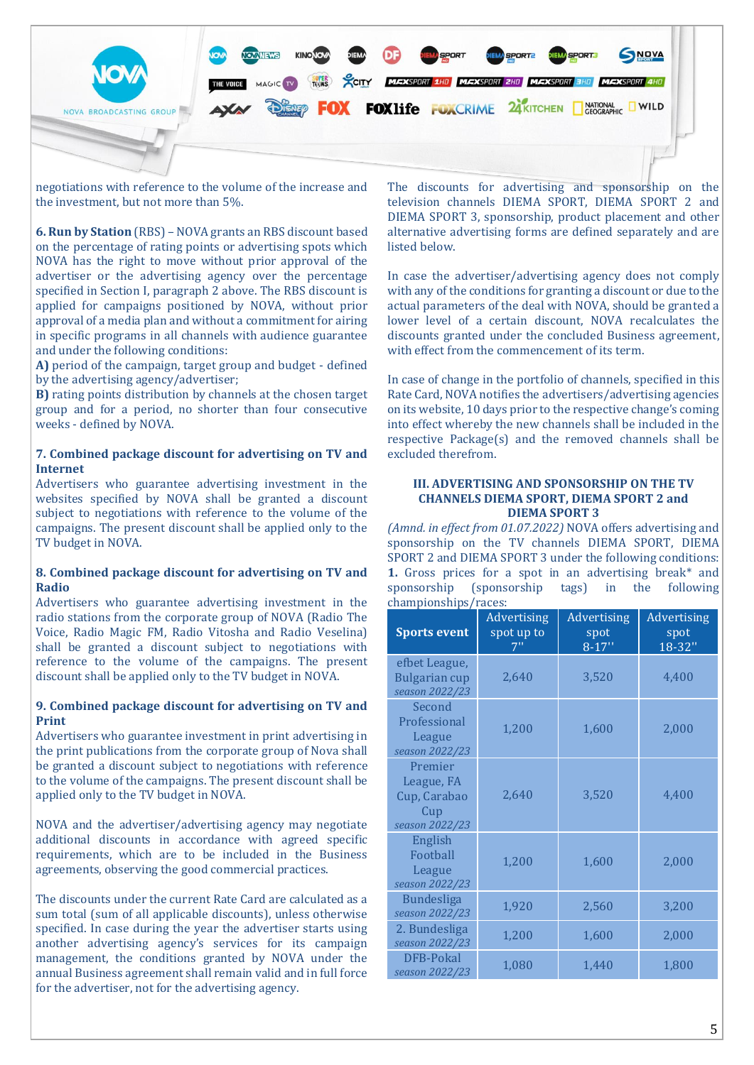

negotiations with reference to the volume of the increase and the investment, but not more than 5%.

**6. Run by Station** (RBS) – NOVA grants an RBS discount based on the percentage of rating points or advertising spots which NOVA has the right to move without prior approval of the advertiser or the advertising agency over the percentage specified in Section I, paragraph 2 above. The RBS discount is applied for campaigns positioned by NOVA, without prior approval of a media plan and without a commitment for airing in specific programs in all channels with audience guarantee and under the following conditions:

**A)** period of the campaign, target group and budget - defined by the advertising agency/advertiser;

**B)** rating points distribution by channels at the chosen target group and for a period, no shorter than four consecutive weeks - defined by NOVA.

# **7. Combined package discount for advertising on TV and Internet**

Advertisers who guarantee advertising investment in the websites specified by NOVA shall be granted a discount subject to negotiations with reference to the volume of the campaigns. The present discount shall be applied only to the TV budget in NOVA.

# **8. Combined package discount for advertising on TV and Radio**

Advertisers who guarantee advertising investment in the radio stations from the corporate group of NOVA (Radio The Voice, Radio Magic FM, Radio Vitosha and Radio Veselina) shall be granted a discount subject to negotiations with reference to the volume of the campaigns. The present discount shall be applied only to the TV budget in NOVA.

# **9. Combined package discount for advertising on TV and Print**

Advertisers who guarantee investment in print advertising in the print publications from the corporate group of Nova shall be granted a discount subject to negotiations with reference to the volume of the campaigns. The present discount shall be applied only to the TV budget in NOVA.

NOVA and the advertiser/advertising agency may negotiate additional discounts in accordance with agreed specific requirements, which are to be included in the Business agreements, observing the good commercial practices.

The discounts under the current Rate Card are calculated as a sum total (sum of all applicable discounts), unless otherwise specified. In case during the year the advertiser starts using another advertising agency's services for its campaign management, the conditions granted by NOVA under the annual Business agreement shall remain valid and in full force for the advertiser, not for the advertising agency.

The discounts for advertising and sponsorship on the television channels DIEMA SPORT, DIEMA SPORT 2 and DIEMA SPORT 3, sponsorship, product placement and other alternative advertising forms are defined separately and are listed below.

In case the advertiser/advertising agency does not comply with any of the conditions for granting a discount or due to the actual parameters of the deal with NOVA, should be granted a lower level of a certain discount, NOVA recalculates the discounts granted under the concluded Business agreement, with effect from the commencement of its term.

In case of change in the portfolio of channels, specified in this Rate Card, NOVA notifies the advertisers/advertising agencies on its website, 10 days prior to the respective change's coming into effect whereby the new channels shall be included in the respective Package(s) and the removed channels shall be excluded therefrom.

#### **III. ADVERTISING AND SPONSORSHIP ON THE TV CHANNELS DIEMA SPORT, DIEMA SPORT 2 and DIEMA SPORT 3**

*(Amnd. in effect from 01.07.2022)* NOVA offers advertising and sponsorship on the TV channels DIEMA SPORT, DIEMA SPORT 2 and DIEMA SPORT 3 under the following conditions: **1.** Gross prices for a spot in an advertising break\* and sponsorship (sponsorship tags) in the following championships/races:

| <b>Sports event</b>                                            | Advertising<br>spot up to<br>7" | Advertising<br>spot<br>$8 - 17"$ | Advertising<br>spot<br>$18 - 32$ |
|----------------------------------------------------------------|---------------------------------|----------------------------------|----------------------------------|
| efbet League,<br><b>Bulgarian cup</b><br>season 2022/23        | 2,640                           | 3,520                            | 4,400                            |
| Second<br>Professional<br>League<br>season 2022/23             | 1,200                           | 1,600                            | 2,000                            |
| Premier<br>League, FA<br>Cup, Carabao<br>Cup<br>season 2022/23 | 2,640                           | 3,520                            | 4,400                            |
| English<br>Football<br>League<br>season 2022/23                | 1,200                           | 1,600                            | 2,000                            |
| <b>Bundesliga</b><br>season 2022/23                            | 1,920                           | 2,560                            | 3,200                            |
| 2. Bundesliga<br>season 2022/23                                | 1,200                           | 1,600                            | 2,000                            |
| <b>DFB-Pokal</b><br>season 2022/23                             | 1,080                           | 1,440                            | 1,800                            |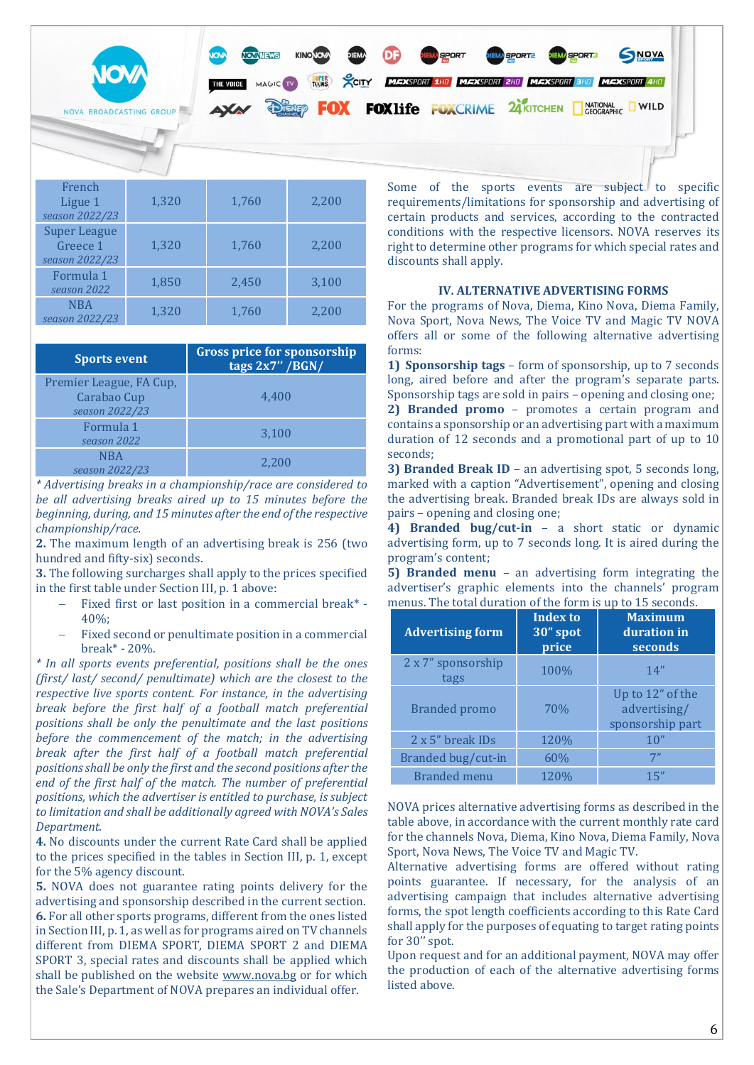

| Frencn<br>Ligue 1<br>season 2022/23               | 1,320 | 1,760 | 2,200 |
|---------------------------------------------------|-------|-------|-------|
| <b>Super League</b><br>Greece 1<br>season 2022/23 | 1,320 | 1,760 | 2,200 |
| Formula 1<br>season 2022                          | 1,850 | 2,450 | 3,100 |
| <b>NBA</b><br>season 2022/23                      | 1,320 | 1,760 | 2,200 |

| <b>Sports event</b>                                      | <b>Gross price for sponsorship</b><br>tags $2x7''$ /BGN/ |
|----------------------------------------------------------|----------------------------------------------------------|
| Premier League, FA Cup,<br>Carabao Cup<br>season 2022/23 | 4.400                                                    |
| Formula 1<br>season 2022                                 | 3,100                                                    |
| <b>NBA</b><br>season 2022/23                             | 2.200                                                    |

*\* Advertising breaks in a championship/race are considered to be all advertising breaks aired up to 15 minutes before the beginning, during, and 15 minutes after the end of the respective championship/race.*

**2.** The maximum length of an advertising break is 256 (two hundred and fifty-six) seconds.

**3.** The following surcharges shall apply to the prices specified in the first table under Section III, p. 1 above:

- − Fixed first or last position in a commercial break\* 40%;
- Fixed second or penultimate position in a commercial break\* - 20%.

*\* In all sports events preferential, positions shall be the ones (first/ last/ second/ penultimate) which are the closest to the respective live sports content. For instance, in the advertising break before the first half of a football match preferential positions shall be only the penultimate and the last positions before the commencement of the match; in the advertising break after the first half of a football match preferential positions shall be only the first and the second positions after the end of the first half of the match. The number of preferential positions, which the advertiser is entitled to purchase, is subject to limitation and shall be additionally agreed with NOVA's Sales Department.*

**4.** No discounts under the current Rate Card shall be applied to the prices specified in the tables in Section III, p. 1, except for the 5% agency discount.

**5.** NOVA does not guarantee rating points delivery for the advertising and sponsorship described in the current section. **6.** For all other sports programs, different from the ones listed in Section III, p. 1, as well as for programs aired on TV channels different from DIEMA SPORT, DIEMA SPORT 2 and DIEMA SPORT 3, special rates and discounts shall be applied which shall be published on the website [www.nova.bg](http://www.nova.bg/) or for which the Sale's Department of NOVA prepares an individual offer.

requirements/limitations for sponsorship and advertising of certain products and services, according to the contracted conditions with the respective licensors. NOVA reserves its right to determine other programs for which special rates and discounts shall apply.

### **IV. ALTERNATIVE ADVERTISING FORMS**

For the programs of Nova, Diema, Kino Nova, Diema Family, Nova Sport, Nova News, The Voice TV and Magic TV NOVA offers all or some of the following alternative advertising forms:

**1) Sponsorship tags** – form of sponsorship, up to 7 seconds long, aired before and after the program's separate parts. Sponsorship tags are sold in pairs – opening and closing one; **2) Branded promo** – promotes a certain program and contains a sponsorship or an advertising part with a maximum duration of 12 seconds and a promotional part of up to 10 seconds;

**3) Branded Break ID** – an advertising spot, 5 seconds long, marked with a caption "Advertisement", opening and closing the advertising break. Branded break IDs are always sold in pairs – opening and closing one;

**4) Branded bug/cut-in** – a short static or dynamic advertising form, up to 7 seconds long. It is aired during the program's content;

**5) Branded menu** – an advertising form integrating the advertiser's graphic elements into the channels' program menus. The total duration of the form is up to 15 seconds.

| <b>Advertising form</b>    | <b>Index to</b><br>30" spot<br>price | <b>Maximum</b><br>duration in<br>seconds             |
|----------------------------|--------------------------------------|------------------------------------------------------|
| 2 x 7" sponsorship<br>tags | 100%                                 | 14"                                                  |
| Branded promo              | 70%                                  | Up to 12" of the<br>advertising/<br>sponsorship part |
| 2 x 5" break IDs           | 120%                                 | 10"                                                  |
| Branded bug/cut-in         | 60%                                  | 7"                                                   |
| <b>Branded</b> menu        | 120%                                 | 15"                                                  |

NOVA prices alternative advertising forms as described in the table above, in accordance with the current monthly rate card for the channels Nova, Diema, Kino Nova, Diema Family, Nova Sport, Nova News, The Voice TV and Magic TV.

Alternative advertising forms are offered without rating points guarantee. If necessary, for the analysis of an advertising campaign that includes alternative advertising forms, the spot length coefficients according to this Rate Card shall apply for the purposes of equating to target rating points for 30'' spot.

Upon request and for an additional payment, NOVA may offer the production of each of the alternative advertising forms listed above.